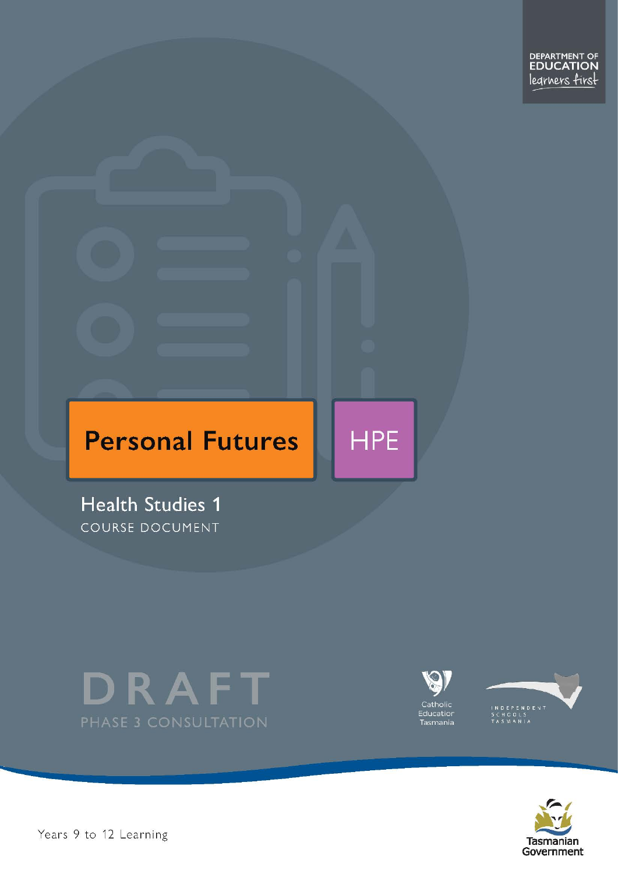# **Personal Futures**

**Health Studies 1** COURSE DOCUMENT





**HPE** 





Pears 9 to 12 Learning – Health Studies Level 1 of 23 April 1 2 of 23 April 1 2 of 23 April 1 23 April 1 23 April 1 23 April 1 23 April 1 23 April 1 23 April 1 23 April 1 23 April 1 23 April 1 23 April 1 23 April 1 23 Apri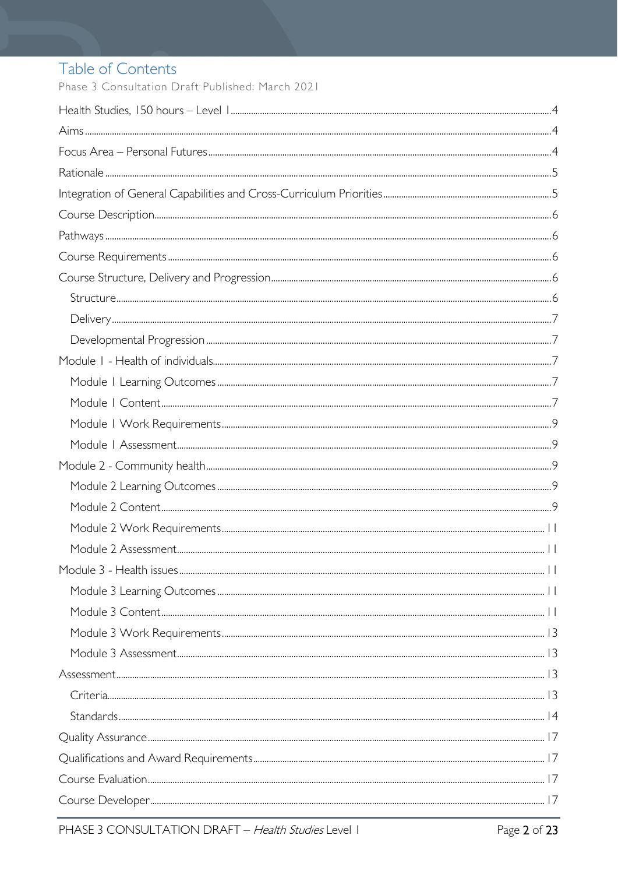# Table of Contents

Phase 3 Consultation Draft Published: March 2021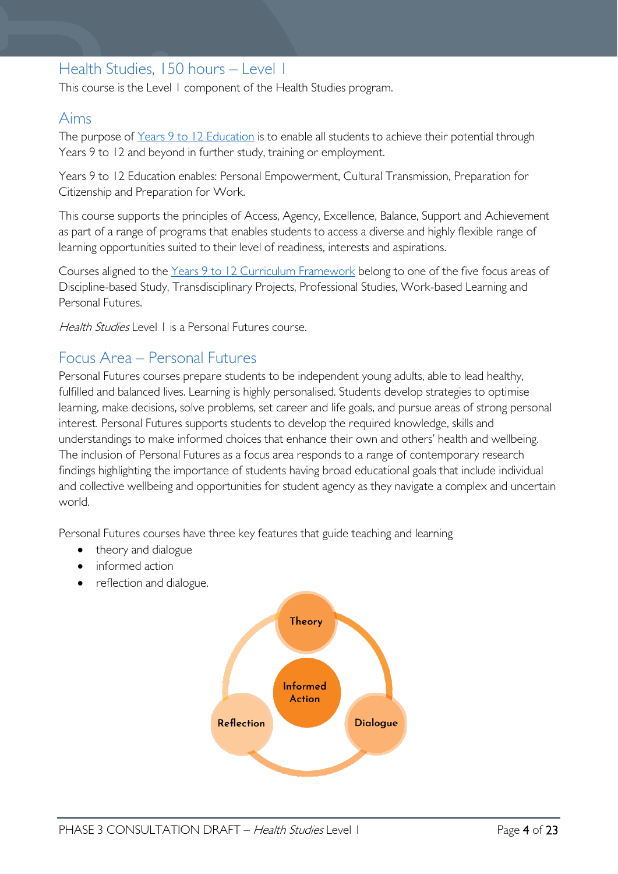# <span id="page-3-0"></span>Health Studies, 150 hours – Level 1

This course is the Level 1 component of the Health Studies program.

### <span id="page-3-1"></span>Aims

The purpose of Years 9 to 12 [Education](https://publicdocumentcentre.education.tas.gov.au/library/Shared%20Documents/Years-9-to-12-Education-Framework.pdf) is to enable all students to achieve their potential through Years 9 to 12 and beyond in further study, training or employment.

Years 9 to 12 Education enables: Personal Empowerment, Cultural Transmission, Preparation for Citizenship and Preparation for Work.

This course supports the principles of Access, Agency, Excellence, Balance, Support and Achievement as part of a range of programs that enables students to access a diverse and highly flexible range of learning opportunities suited to their level of readiness, interests and aspirations.

Courses aligned to the Years 9 to 12 Curriculum [Framework](https://publicdocumentcentre.education.tas.gov.au/library/Shared%20Documents/Education%209-12%20Frameworks%20A3%20WEB%20POSTER.pdf) belong to one of the five focus areas of Discipline-based Study, Transdisciplinary Projects, Professional Studies, Work-based Learning and Personal Futures.

Health Studies Level L is a Personal Futures course.

## <span id="page-3-2"></span>Focus Area – Personal Futures

Personal Futures courses prepare students to be independent young adults, able to lead healthy, fulfilled and balanced lives. Learning is highly personalised. Students develop strategies to optimise learning, make decisions, solve problems, set career and life goals, and pursue areas of strong personal interest. Personal Futures supports students to develop the required knowledge, skills and understandings to make informed choices that enhance their own and others' health and wellbeing. The inclusion of Personal Futures as a focus area responds to a range of contemporary research findings highlighting the importance of students having broad educational goals that include individual and collective wellbeing and opportunities for student agency as they navigate a complex and uncertain world.

Personal Futures courses have three key features that guide teaching and learning

- theory and dialogue
- informed action
- reflection and dialogue.

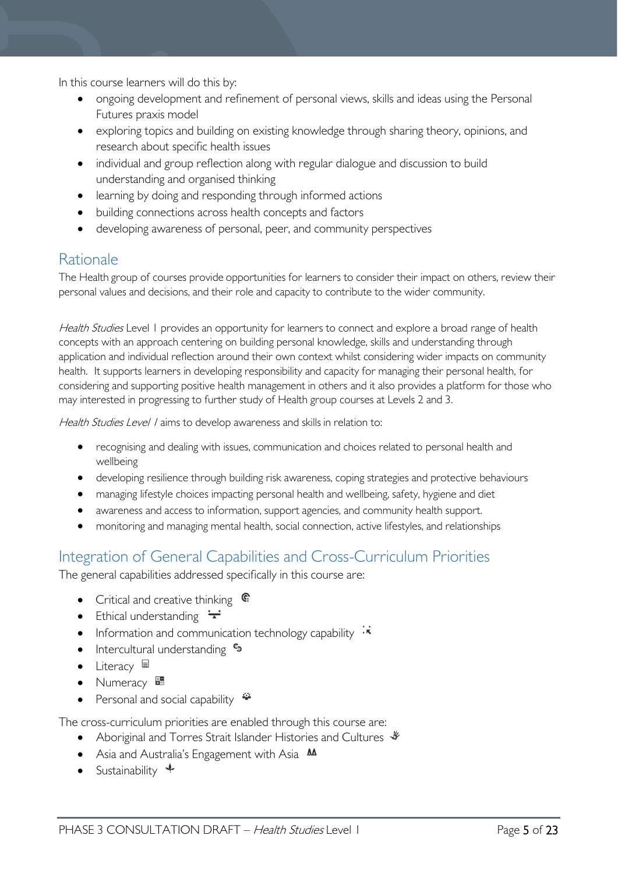In this course learners will do this by:

- ongoing development and refinement of personal views, skills and ideas using the Personal Futures praxis model
- exploring topics and building on existing knowledge through sharing theory, opinions, and research about specific health issues
- individual and group reflection along with regular dialogue and discussion to build understanding and organised thinking
- learning by doing and responding through informed actions
- building connections across health concepts and factors
- developing awareness of personal, peer, and community perspectives

### <span id="page-4-0"></span>Rationale

The Health group of courses provide opportunities for learners to consider their impact on others, review their personal values and decisions, and their role and capacity to contribute to the wider community.  

Health Studies Level 1 provides an opportunity for learners to connect and explore a broad range of health concepts with an approach centering on building personal knowledge, skills and understanding through application and individual reflection around their own context whilst considering wider impacts on community health. It supports learners in developing responsibility and capacity for managing their personal health, for considering and supporting positive health management in others and it also provides a platform for those who may interested in progressing to further study of Health group courses at Levels 2 and 3.

Health Studies Level / aims to develop awareness and skills in relation to:

- recognising and dealing with issues, communication and choices related to personal health and wellbeing
- developing resilience through building risk awareness, coping strategies and protective behaviours
- managing lifestyle choices impacting personal health and wellbeing, safety, hygiene and diet
- awareness and access to information, support agencies, and community health support.
- monitoring and managing mental health, social connection, active lifestyles, and relationships

# <span id="page-4-1"></span>Integration of General Capabilities and Cross-Curriculum Priorities

The general capabilities addressed specifically in this course are:

- Critical and creative thinking  $\mathbb{C}$
- Ethical understanding  $\pm$
- Information and communication technology capability  $\cdot\overline{\cdot}$
- Intercultural understanding  $\frac{c_3}{ }$
- Literacy  $\blacksquare$
- Numeracy
- Personal and social capability

The cross-curriculum priorities are enabled through this course are:

- Aboriginal and Torres Strait Islander Histories and Cultures  $\mathscr W$
- Asia and Australia's Engagement with Asia **MA**
- Sustainability  $\triangleleft$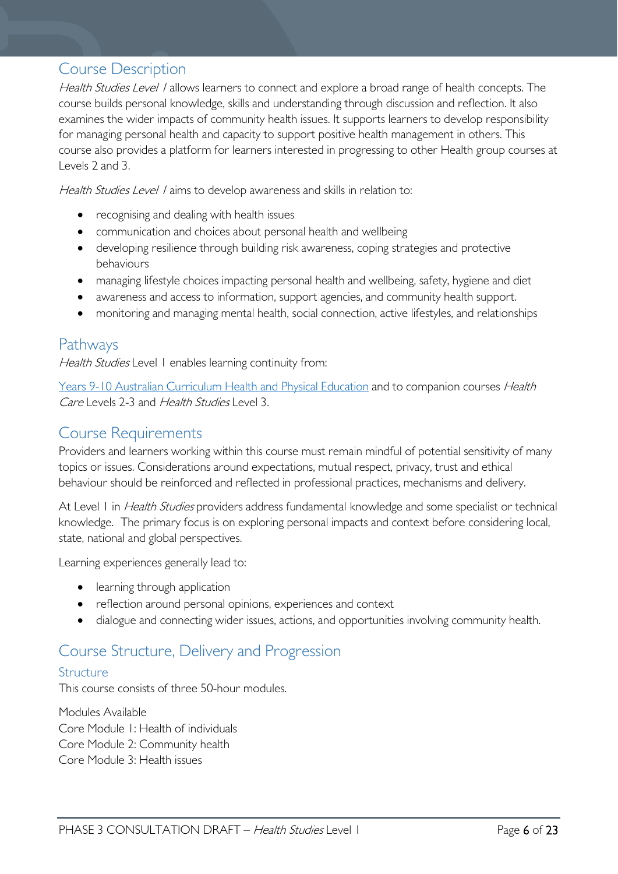### <span id="page-5-0"></span>Course Description

Health Studies Level / allows learners to connect and explore a broad range of health concepts. The course builds personal knowledge, skills and understanding through discussion and reflection. It also examines the wider impacts of community health issues. It supports learners to develop responsibility for managing personal health and capacity to support positive health management in others. This course also provides a platform for learners interested in progressing to other Health group courses at Levels 2 and 3.

Health Studies Level 1 aims to develop awareness and skills in relation to:

- recognising and dealing with health issues
- communication and choices about personal health and wellbeing
- developing resilience through building risk awareness, coping strategies and protective behaviours
- managing lifestyle choices impacting personal health and wellbeing, safety, hygiene and diet
- awareness and access to information, support agencies, and community health support.
- monitoring and managing mental health, social connection, active lifestyles, and relationships

### <span id="page-5-1"></span>Pathways

Health Studies Level 1 enables learning continuity from:

[Years 9-10 Australian Curriculum Health and Physical Education](https://www.australiancurriculum.edu.au/f-10-curriculum/health-and-physical-education/) and to companion courses Health Care Levels 2-3 and Health Studies Level 3.

## <span id="page-5-2"></span>Course Requirements

Providers and learners working within this course must remain mindful of potential sensitivity of many topics or issues. Considerations around expectations, mutual respect, privacy, trust and ethical behaviour should be reinforced and reflected in professional practices, mechanisms and delivery.

At Level 1 in *Health Studies* providers address fundamental knowledge and some specialist or technical knowledge. The primary focus is on exploring personal impacts and context before considering local, state, national and global perspectives.

Learning experiences generally lead to:

- learning through application
- reflection around personal opinions, experiences and context
- dialogue and connecting wider issues, actions, and opportunities involving community health.

# <span id="page-5-3"></span>Course Structure, Delivery and Progression

### <span id="page-5-4"></span>Structure

This course consists of three 50-hour modules.

Modules Available Core Module 1: Health of individuals Core Module 2: Community health Core Module 3: Health issues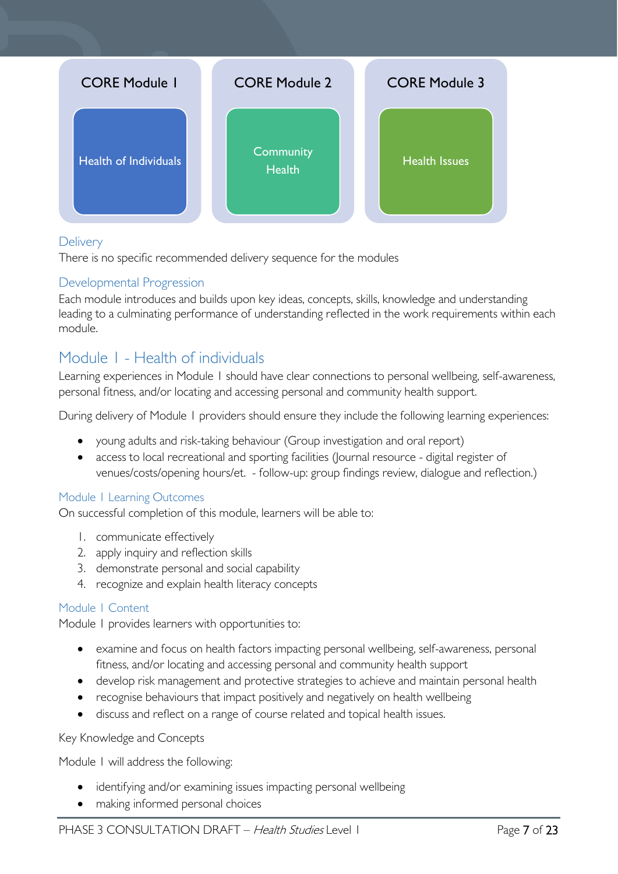

### <span id="page-6-0"></span>**Delivery**

There is no specific recommended delivery sequence for the modules

#### <span id="page-6-1"></span>Developmental Progression

Each module introduces and builds upon key ideas, concepts, skills, knowledge and understanding leading to a culminating performance of understanding reflected in the work requirements within each module.

## <span id="page-6-2"></span>Module 1 - Health of individuals

Learning experiences in Module 1 should have clear connections to personal wellbeing, self-awareness, personal fitness, and/or locating and accessing personal and community health support.

During delivery of Module 1 providers should ensure they include the following learning experiences:

- young adults and risk-taking behaviour (Group investigation and oral report)
- access to local recreational and sporting facilities (Journal resource digital register of venues/costs/opening hours/et. - follow-up: group findings review, dialogue and reflection.)

#### <span id="page-6-3"></span>Module 1 Learning Outcomes

On successful completion of this module, learners will be able to:

- 1. communicate effectively
- 2. apply inquiry and reflection skills
- 3. demonstrate personal and social capability
- 4. recognize and explain health literacy concepts

#### <span id="page-6-4"></span>Module 1 Content

Module 1 provides learners with opportunities to:

- examine and focus on health factors impacting personal wellbeing, self-awareness, personal fitness, and/or locating and accessing personal and community health support
- develop risk management and protective strategies to achieve and maintain personal health
- recognise behaviours that impact positively and negatively on health wellbeing
- discuss and reflect on a range of course related and topical health issues.

#### Key Knowledge and Concepts

Module 1 will address the following:

- identifying and/or examining issues impacting personal wellbeing
- making informed personal choices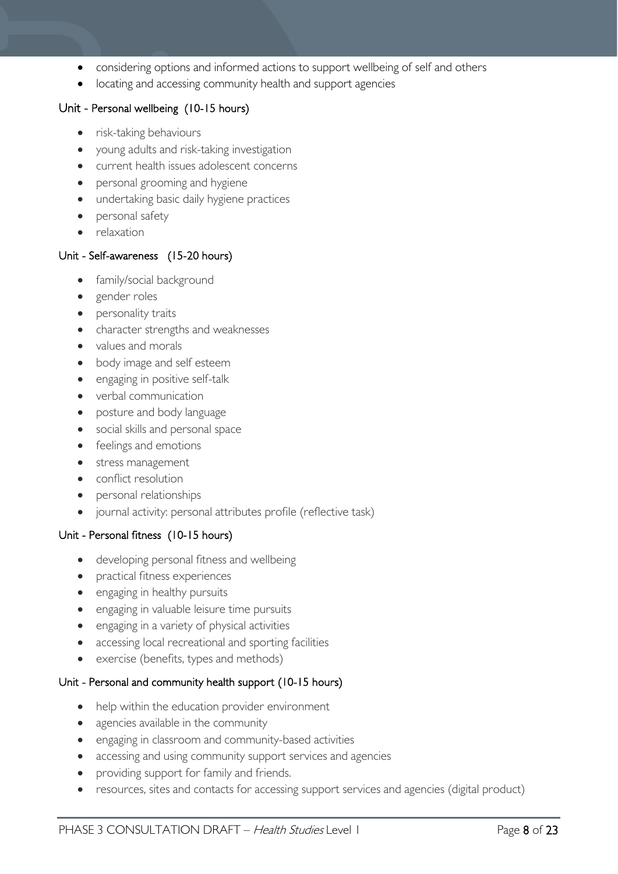- considering options and informed actions to support wellbeing of self and others
- locating and accessing community health and support agencies

#### Unit - Personal wellbeing (10-15 hours)

- risk-taking behaviours
- young adults and risk-taking investigation
- current health issues adolescent concerns
- personal grooming and hygiene
- undertaking basic daily hygiene practices
- personal safety
- relaxation

#### Unit - Self-awareness (15-20 hours)

- family/social background
- gender roles
- personality traits
- character strengths and weaknesses
- values and morals
- body image and self esteem
- engaging in positive self-talk
- verbal communication
- posture and body language
- social skills and personal space
- feelings and emotions
- stress management
- conflict resolution
- personal relationships
- journal activity: personal attributes profile (reflective task)

#### Unit - Personal fitness (10-15 hours)

- developing personal fitness and wellbeing
- practical fitness experiences
- engaging in healthy pursuits
- engaging in valuable leisure time pursuits
- engaging in a variety of physical activities
- accessing local recreational and sporting facilities
- exercise (benefits, types and methods)

#### Unit - Personal and community health support (10-15 hours)

- help within the education provider environment
- agencies available in the community
- engaging in classroom and community-based activities
- accessing and using community support services and agencies
- providing support for family and friends.
- resources, sites and contacts for accessing support services and agencies (digital product)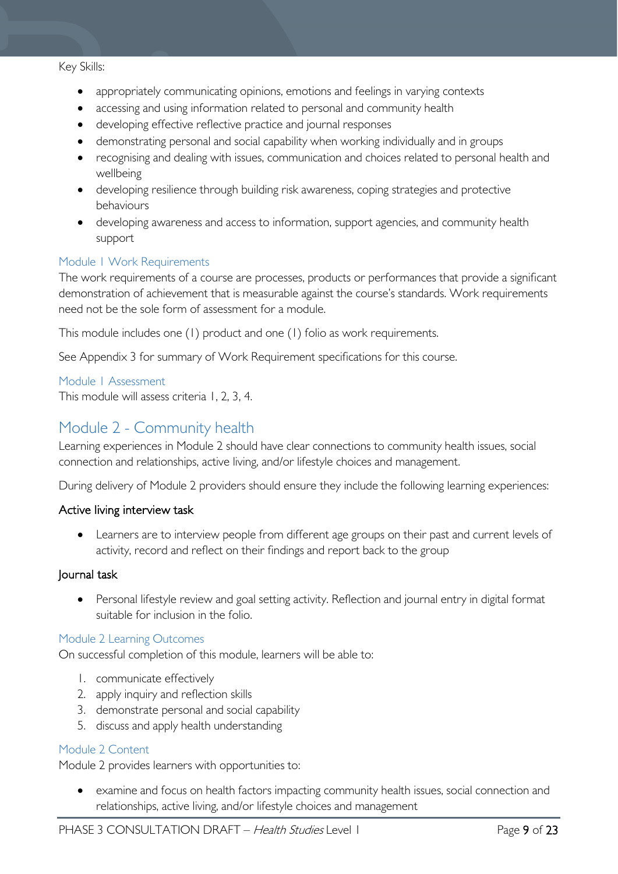#### Key Skills:

- appropriately communicating opinions, emotions and feelings in varying contexts
- accessing and using information related to personal and community health
- developing effective reflective practice and journal responses
- demonstrating personal and social capability when working individually and in groups
- recognising and dealing with issues, communication and choices related to personal health and wellbeing
- developing resilience through building risk awareness, coping strategies and protective behaviours
- developing awareness and access to information, support agencies, and community health support

#### <span id="page-8-0"></span>Module 1 Work Requirements

The work requirements of a course are processes, products or performances that provide a significant demonstration of achievement that is measurable against the course's standards. Work requirements need not be the sole form of assessment for a module.

This module includes one (1) product and one (1) folio as work requirements.

See Appendix 3 for summary of Work Requirement specifications for this course.

<span id="page-8-1"></span>Module 1 Assessment This module will assess criteria 1, 2, 3, 4.

## <span id="page-8-2"></span>Module 2 - Community health

Learning experiences in Module 2 should have clear connections to community health issues, social connection and relationships, active living, and/or lifestyle choices and management.

During delivery of Module 2 providers should ensure they include the following learning experiences:

#### Active living interview task

Learners are to interview people from different age groups on their past and current levels of activity, record and reflect on their findings and report back to the group

#### Journal task

• Personal lifestyle review and goal setting activity. Reflection and journal entry in digital format suitable for inclusion in the folio.

#### <span id="page-8-3"></span>Module 2 Learning Outcomes

On successful completion of this module, learners will be able to:

- 1. communicate effectively
- 2. apply inquiry and reflection skills
- 3. demonstrate personal and social capability
- 5. discuss and apply health understanding

#### <span id="page-8-4"></span>Module 2 Content

Module 2 provides learners with opportunities to:

examine and focus on health factors impacting community health issues, social connection and relationships, active living, and/or lifestyle choices and management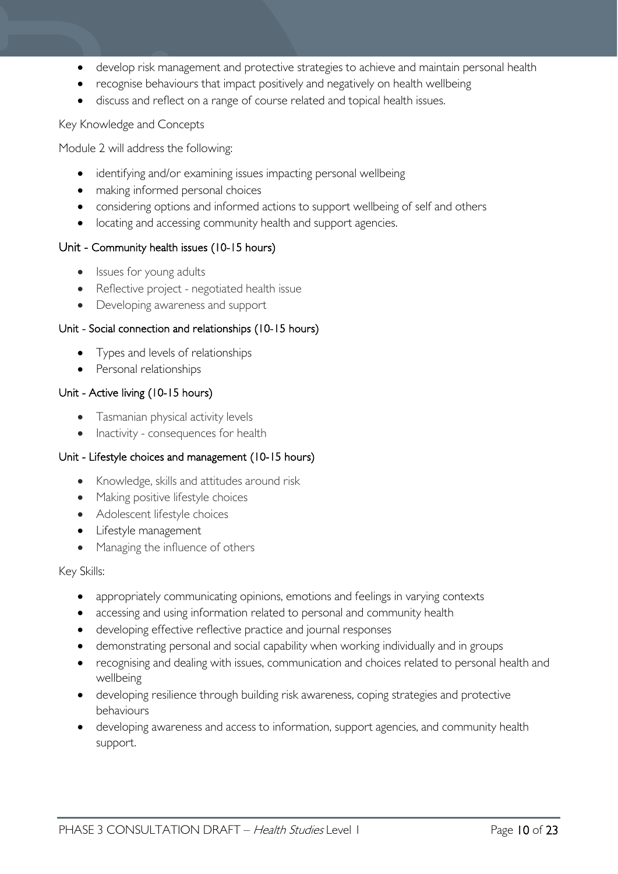- develop risk management and protective strategies to achieve and maintain personal health
- recognise behaviours that impact positively and negatively on health wellbeing
- discuss and reflect on a range of course related and topical health issues.

#### Key Knowledge and Concepts

Module 2 will address the following:

- identifying and/or examining issues impacting personal wellbeing
- making informed personal choices
- considering options and informed actions to support wellbeing of self and others
- locating and accessing community health and support agencies.

#### Unit - Community health issues (10-15 hours)

- Issues for young adults
- Reflective project negotiated health issue
- Developing awareness and support

#### Unit - Social connection and relationships (10-15 hours)

- Types and levels of relationships
- Personal relationships

#### Unit - Active living (10-15 hours)

- Tasmanian physical activity levels
- Inactivity consequences for health

#### Unit - Lifestyle choices and management (10-15 hours)

- Knowledge, skills and attitudes around risk
- Making positive lifestyle choices
- Adolescent lifestyle choices
- Lifestyle management
- Managing the influence of others

#### Key Skills:

- appropriately communicating opinions, emotions and feelings in varying contexts
- accessing and using information related to personal and community health
- developing effective reflective practice and journal responses
- demonstrating personal and social capability when working individually and in groups
- recognising and dealing with issues, communication and choices related to personal health and wellbeing
- developing resilience through building risk awareness, coping strategies and protective behaviours
- developing awareness and access to information, support agencies, and community health support.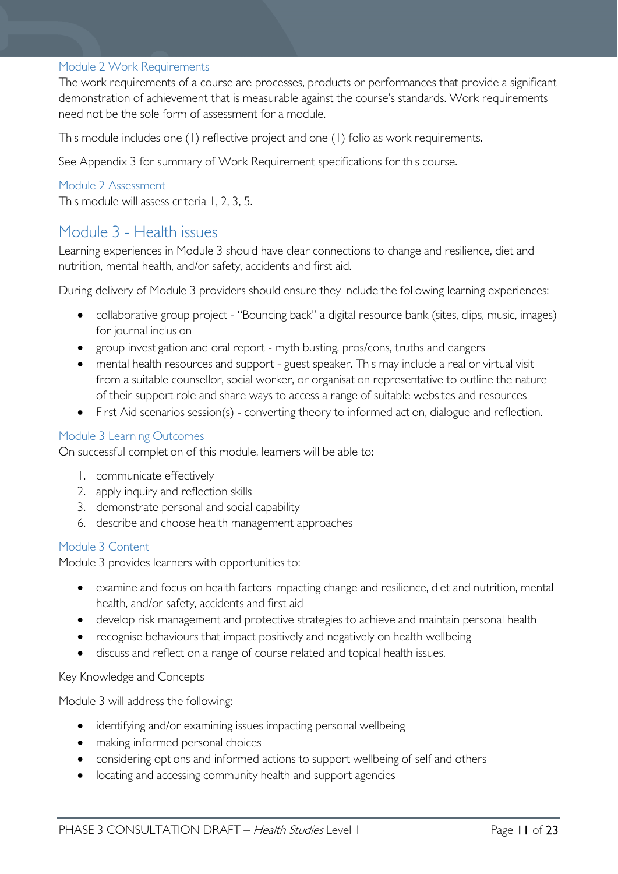#### <span id="page-10-0"></span>Module 2 Work Requirements

The work requirements of a course are processes, products or performances that provide a significant demonstration of achievement that is measurable against the course's standards. Work requirements need not be the sole form of assessment for a module.

This module includes one (1) reflective project and one (1) folio as work requirements.

See Appendix 3 for summary of Work Requirement specifications for this course.

#### <span id="page-10-1"></span>Module 2 Assessment

This module will assess criteria 1, 2, 3, 5.

### <span id="page-10-2"></span>Module 3 - Health issues

Learning experiences in Module 3 should have clear connections to change and resilience, diet and nutrition, mental health, and/or safety, accidents and first aid.

During delivery of Module 3 providers should ensure they include the following learning experiences:

- collaborative group project "Bouncing back" a digital resource bank (sites, clips, music, images) for journal inclusion
- group investigation and oral report myth busting, pros/cons, truths and dangers
- mental health resources and support guest speaker. This may include a real or virtual visit from a suitable counsellor, social worker, or organisation representative to outline the nature of their support role and share ways to access a range of suitable websites and resources
- First Aid scenarios session(s) converting theory to informed action, dialogue and reflection.

#### <span id="page-10-3"></span>Module 3 Learning Outcomes

On successful completion of this module, learners will be able to:

- 1. communicate effectively
- 2. apply inquiry and reflection skills
- 3. demonstrate personal and social capability
- 6. describe and choose health management approaches

#### <span id="page-10-4"></span>Module 3 Content

Module 3 provides learners with opportunities to:

- examine and focus on health factors impacting change and resilience, diet and nutrition, mental health, and/or safety, accidents and first aid
- develop risk management and protective strategies to achieve and maintain personal health
- recognise behaviours that impact positively and negatively on health wellbeing
- discuss and reflect on a range of course related and topical health issues.

Key Knowledge and Concepts

Module 3 will address the following:

- identifying and/or examining issues impacting personal wellbeing
- making informed personal choices
- considering options and informed actions to support wellbeing of self and others
- locating and accessing community health and support agencies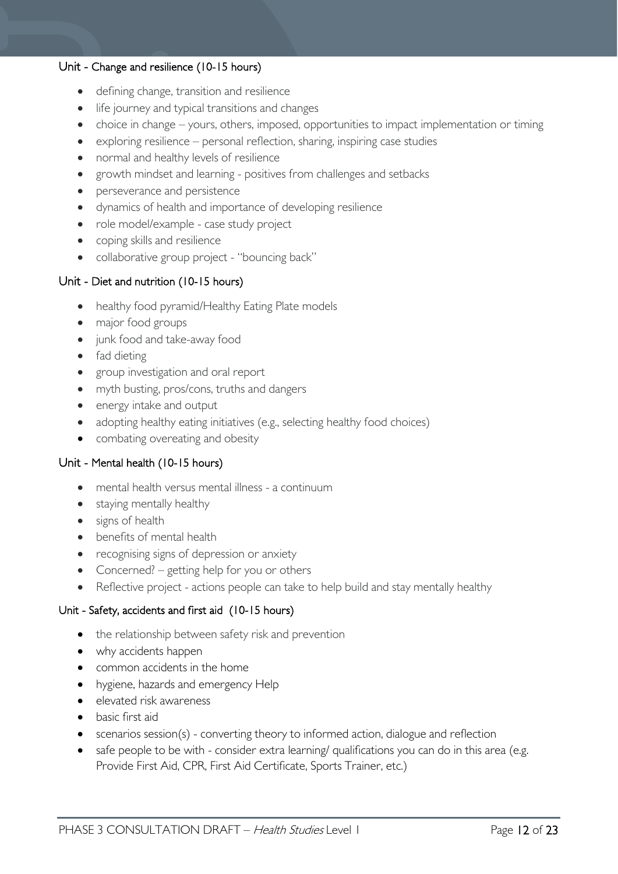#### Unit - Change and resilience (10-15 hours)

- defining change, transition and resilience
- life journey and typical transitions and changes
- choice in change yours, others, imposed, opportunities to impact implementation or timing
- exploring resilience personal reflection, sharing, inspiring case studies
- normal and healthy levels of resilience
- growth mindset and learning positives from challenges and setbacks
- perseverance and persistence
- dynamics of health and importance of developing resilience
- role model/example case study project
- coping skills and resilience
- collaborative group project "bouncing back"

#### Unit - Diet and nutrition (10-15 hours)

- healthy food pyramid/Healthy Eating Plate models
- major food groups
- junk food and take-away food
- fad dieting
- group investigation and oral report
- myth busting, pros/cons, truths and dangers
- energy intake and output
- adopting healthy eating initiatives (e.g., selecting healthy food choices)
- combating overeating and obesity

#### Unit - Mental health (10-15 hours)

- mental health versus mental illness a continuum
- staying mentally healthy
- signs of health
- benefits of mental health
- recognising signs of depression or anxiety
- Concerned? getting help for you or others
- Reflective project actions people can take to help build and stay mentally healthy

#### Unit - Safety, accidents and first aid (10-15 hours)

- the relationship between safety risk and prevention
- why accidents happen
- common accidents in the home
- hygiene, hazards and emergency Help
- elevated risk awareness
- basic first aid
- scenarios session(s) converting theory to informed action, dialogue and reflection
- safe people to be with consider extra learning/ qualifications you can do in this area (e.g. Provide First Aid, CPR, First Aid Certificate, Sports Trainer, etc.)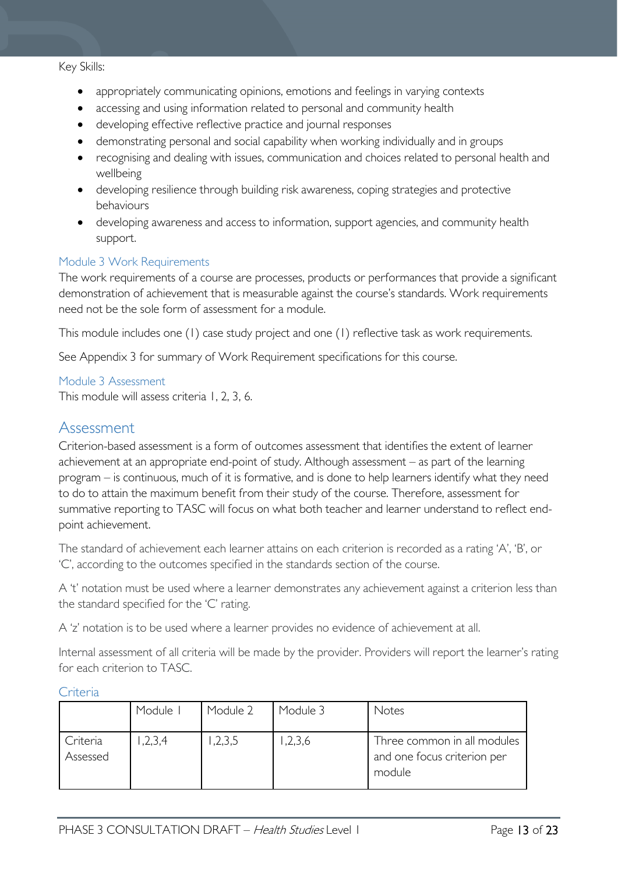#### Key Skills:

- appropriately communicating opinions, emotions and feelings in varying contexts
- accessing and using information related to personal and community health
- developing effective reflective practice and journal responses
- demonstrating personal and social capability when working individually and in groups
- recognising and dealing with issues, communication and choices related to personal health and wellbeing
- developing resilience through building risk awareness, coping strategies and protective behaviours
- developing awareness and access to information, support agencies, and community health support.

#### <span id="page-12-0"></span>Module 3 Work Requirements

The work requirements of a course are processes, products or performances that provide a significant demonstration of achievement that is measurable against the course's standards. Work requirements need not be the sole form of assessment for a module.

This module includes one (1) case study project and one (1) reflective task as work requirements.

See Appendix 3 for summary of Work Requirement specifications for this course.

<span id="page-12-1"></span>Module 3 Assessment This module will assess criteria 1, 2, 3, 6.

### <span id="page-12-2"></span>Assessment

Criterion-based assessment is a form of outcomes assessment that identifies the extent of learner achievement at an appropriate end-point of study. Although assessment – as part of the learning program – is continuous, much of it is formative, and is done to help learners identify what they need to do to attain the maximum benefit from their study of the course. Therefore, assessment for summative reporting to TASC will focus on what both teacher and learner understand to reflect endpoint achievement.

The standard of achievement each learner attains on each criterion is recorded as a rating 'A', 'B', or 'C', according to the outcomes specified in the standards section of the course.

A 't' notation must be used where a learner demonstrates any achievement against a criterion less than the standard specified for the 'C' rating.

A 'z' notation is to be used where a learner provides no evidence of achievement at all.

Internal assessment of all criteria will be made by the provider. Providers will report the learner's rating for each criterion to TASC.

|                      | Module I | Module 2 | Module 3 | Notes                                                                |
|----------------------|----------|----------|----------|----------------------------------------------------------------------|
| Criteria<br>Assessed | ,2,3,4   | 1,2,3,5  | 1,2,3,6  | Three common in all modules<br>and one focus criterion per<br>module |

#### <span id="page-12-3"></span>Criteria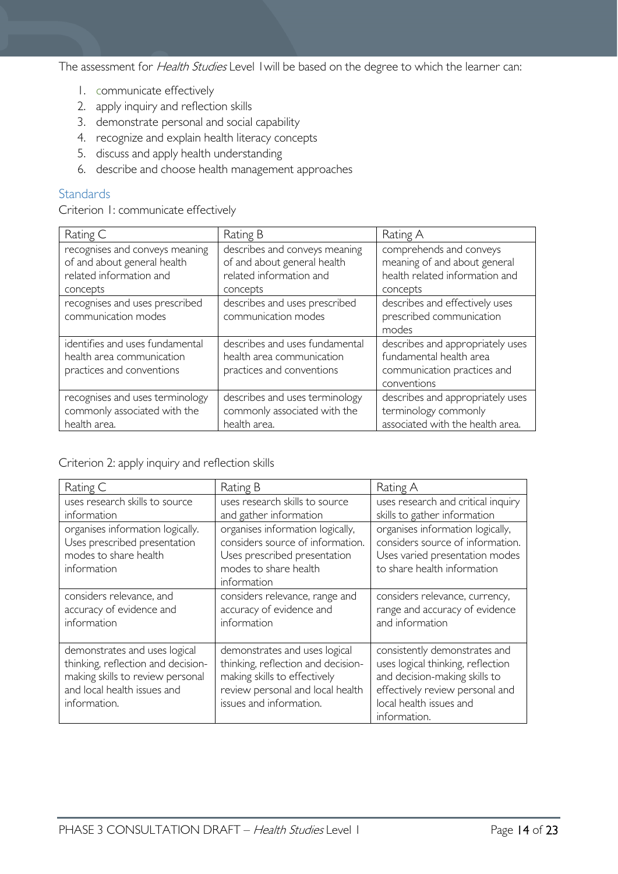The assessment for *Health Studies* Level I will be based on the degree to which the learner can:

- 1. communicate effectively
- 2. apply inquiry and reflection skills
- 3. demonstrate personal and social capability
- 4. recognize and explain health literacy concepts
- 5. discuss and apply health understanding
- 6. describe and choose health management approaches

### <span id="page-13-0"></span>**Standards**

Criterion 1: communicate effectively

| Rating C                        | Rating B                       | Rating A                         |  |
|---------------------------------|--------------------------------|----------------------------------|--|
| recognises and conveys meaning  | describes and conveys meaning  | comprehends and conveys          |  |
| of and about general health     | of and about general health    | meaning of and about general     |  |
| related information and         | related information and        | health related information and   |  |
| concepts                        | concepts                       | concepts                         |  |
| recognises and uses prescribed  | describes and uses prescribed  | describes and effectively uses   |  |
| communication modes             | communication modes            | prescribed communication         |  |
|                                 |                                | modes                            |  |
| identifies and uses fundamental | describes and uses fundamental | describes and appropriately uses |  |
| health area communication       | health area communication      | fundamental health area          |  |
| practices and conventions       | practices and conventions      | communication practices and      |  |
|                                 |                                | conventions                      |  |
| recognises and uses terminology | describes and uses terminology | describes and appropriately uses |  |
| commonly associated with the    | commonly associated with the   | terminology commonly             |  |
| health area.                    | health area.                   | associated with the health area. |  |

#### Criterion 2: apply inquiry and reflection skills

| Rating C                                                                                                                                               | Rating B                                                                                                                                                                                                                                                                              |                                                                                                                                                                                   |
|--------------------------------------------------------------------------------------------------------------------------------------------------------|---------------------------------------------------------------------------------------------------------------------------------------------------------------------------------------------------------------------------------------------------------------------------------------|-----------------------------------------------------------------------------------------------------------------------------------------------------------------------------------|
| uses research skills to source<br>information                                                                                                          | uses research skills to source<br>and gather information                                                                                                                                                                                                                              | uses research and critical inquiry<br>skills to gather information                                                                                                                |
| organises information logically.<br>Uses prescribed presentation<br>modes to share health<br>information                                               | organises information logically,<br>organises information logically,<br>considers source of information.<br>considers source of information.<br>Uses varied presentation modes<br>Uses prescribed presentation<br>modes to share health<br>to share health information<br>information |                                                                                                                                                                                   |
| considers relevance, and<br>accuracy of evidence and<br>information                                                                                    | considers relevance, range and<br>accuracy of evidence and<br>information                                                                                                                                                                                                             | considers relevance, currency,<br>range and accuracy of evidence<br>and information                                                                                               |
| demonstrates and uses logical<br>thinking, reflection and decision-<br>making skills to review personal<br>and local health issues and<br>information. | demonstrates and uses logical<br>thinking, reflection and decision-<br>making skills to effectively<br>review personal and local health<br>issues and information.                                                                                                                    | consistently demonstrates and<br>uses logical thinking, reflection<br>and decision-making skills to<br>effectively review personal and<br>local health issues and<br>information. |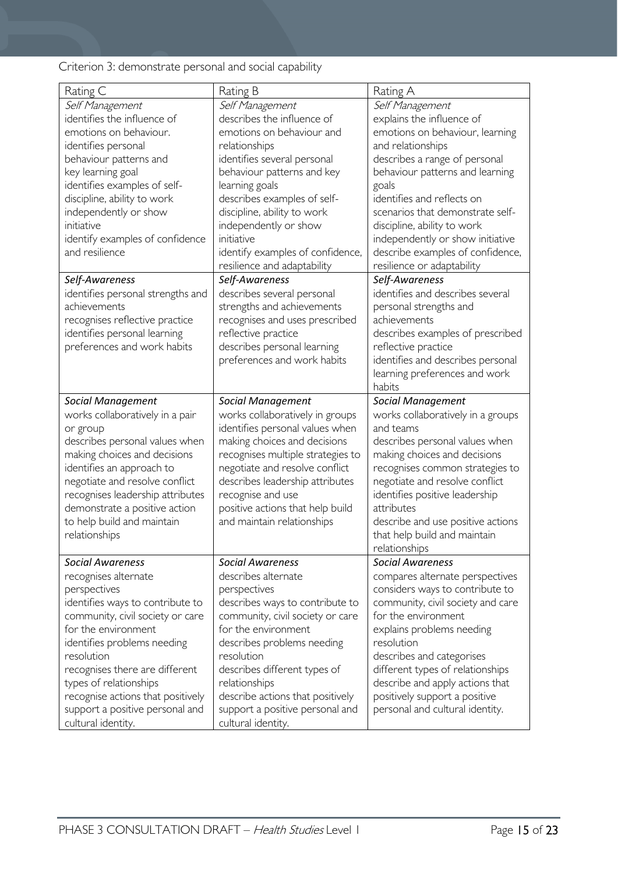Criterion 3: demonstrate personal and social capability

| Rating C                          | Rating B                          | Rating A                          |
|-----------------------------------|-----------------------------------|-----------------------------------|
| Self Management                   | Self Management                   | Self Management                   |
| identifies the influence of       | describes the influence of        | explains the influence of         |
| emotions on behaviour.            | emotions on behaviour and         | emotions on behaviour, learning   |
| identifies personal               | relationships                     | and relationships                 |
| behaviour patterns and            | identifies several personal       | describes a range of personal     |
| key learning goal                 | behaviour patterns and key        | behaviour patterns and learning   |
| identifies examples of self-      | learning goals                    | goals                             |
| discipline, ability to work       | describes examples of self-       | identifies and reflects on        |
| independently or show             | discipline, ability to work       | scenarios that demonstrate self-  |
| initiative                        | independently or show             | discipline, ability to work       |
|                                   | initiative                        |                                   |
| identify examples of confidence   |                                   | independently or show initiative  |
| and resilience                    | identify examples of confidence,  | describe examples of confidence,  |
|                                   | resilience and adaptability       | resilience or adaptability        |
| Self-Awareness                    | Self-Awareness                    | Self-Awareness                    |
| identifies personal strengths and | describes several personal        | identifies and describes several  |
| achievements                      | strengths and achievements        | personal strengths and            |
| recognises reflective practice    | recognises and uses prescribed    | achievements                      |
| identifies personal learning      | reflective practice               | describes examples of prescribed  |
| preferences and work habits       | describes personal learning       | reflective practice               |
|                                   | preferences and work habits       | identifies and describes personal |
|                                   |                                   | learning preferences and work     |
|                                   |                                   | habits                            |
|                                   |                                   |                                   |
| <b>Social Management</b>          | <b>Social Management</b>          | <b>Social Management</b>          |
| works collaboratively in a pair   | works collaboratively in groups   | works collaboratively in a groups |
| or group                          | identifies personal values when   | and teams                         |
| describes personal values when    | making choices and decisions      | describes personal values when    |
| making choices and decisions      | recognises multiple strategies to | making choices and decisions      |
| identifies an approach to         | negotiate and resolve conflict    | recognises common strategies to   |
| negotiate and resolve conflict    | describes leadership attributes   | negotiate and resolve conflict    |
| recognises leadership attributes  | recognise and use                 | identifies positive leadership    |
| demonstrate a positive action     | positive actions that help build  | attributes                        |
| to help build and maintain        | and maintain relationships        | describe and use positive actions |
| relationships                     |                                   | that help build and maintain      |
|                                   |                                   | relationships                     |
| <b>Social Awareness</b>           | <b>Social Awareness</b>           | <b>Social Awareness</b>           |
| recognises alternate              | describes alternate               | compares alternate perspectives   |
| perspectives                      |                                   |                                   |
|                                   | perspectives                      | considers ways to contribute to   |
| identifies ways to contribute to  | describes ways to contribute to   | community, civil society and care |
| community, civil society or care  | community, civil society or care  | for the environment               |
| for the environment               | for the environment               | explains problems needing         |
| identifies problems needing       | describes problems needing        | resolution                        |
| resolution                        | resolution                        | describes and categorises         |
| recognises there are different    | describes different types of      | different types of relationships  |
| types of relationships            | relationships                     | describe and apply actions that   |
| recognise actions that positively | describe actions that positively  | positively support a positive     |
| support a positive personal and   | support a positive personal and   | personal and cultural identity.   |
| cultural identity.                | cultural identity.                |                                   |
|                                   |                                   |                                   |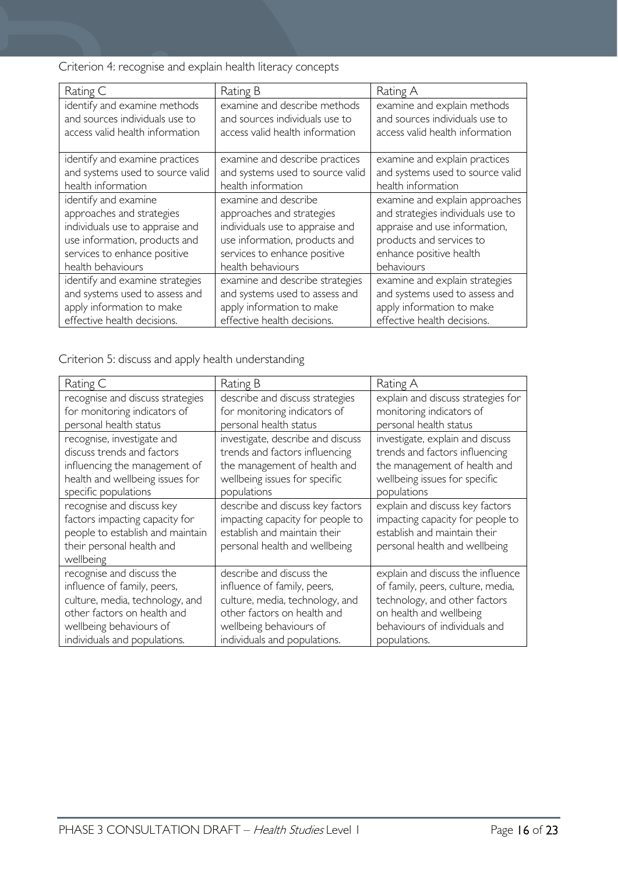Criterion 4: recognise and explain health literacy concepts

| Rating C                         | Rating B                         | Rating A                          |
|----------------------------------|----------------------------------|-----------------------------------|
| identify and examine methods     | examine and describe methods     | examine and explain methods       |
| and sources individuals use to   | and sources individuals use to   | and sources individuals use to    |
| access valid health information  | access valid health information  | access valid health information   |
|                                  |                                  |                                   |
| identify and examine practices   | examine and describe practices   | examine and explain practices     |
| and systems used to source valid | and systems used to source valid | and systems used to source valid  |
| health information               | health information               | health information                |
| identify and examine             | examine and describe             | examine and explain approaches    |
| approaches and strategies        | approaches and strategies        | and strategies individuals use to |
| individuals use to appraise and  | individuals use to appraise and  | appraise and use information,     |
| use information, products and    | use information, products and    | products and services to          |
| services to enhance positive     | services to enhance positive     | enhance positive health           |
| health behaviours                | health behaviours                | behaviours                        |
| identify and examine strategies  | examine and describe strategies  | examine and explain strategies    |
| and systems used to assess and   | and systems used to assess and   | and systems used to assess and    |
| apply information to make        | apply information to make        | apply information to make         |
| effective health decisions.      | effective health decisions.      | effective health decisions.       |

Criterion 5: discuss and apply health understanding

| Rating C                                                                                                                                                                                                                                                                                                    | Rating B                                                                                                                                                                             | Rating A                                                                                                                                                                            |
|-------------------------------------------------------------------------------------------------------------------------------------------------------------------------------------------------------------------------------------------------------------------------------------------------------------|--------------------------------------------------------------------------------------------------------------------------------------------------------------------------------------|-------------------------------------------------------------------------------------------------------------------------------------------------------------------------------------|
| recognise and discuss strategies<br>for monitoring indicators of<br>personal health status                                                                                                                                                                                                                  | describe and discuss strategies<br>for monitoring indicators of<br>personal health status                                                                                            | explain and discuss strategies for<br>monitoring indicators of<br>personal health status                                                                                            |
| recognise, investigate and<br>investigate, describe and discuss<br>discuss trends and factors<br>trends and factors influencing<br>influencing the management of<br>the management of health and<br>health and wellbeing issues for<br>wellbeing issues for specific<br>specific populations<br>populations |                                                                                                                                                                                      | investigate, explain and discuss<br>trends and factors influencing<br>the management of health and<br>wellbeing issues for specific<br>populations                                  |
| recognise and discuss key<br>factors impacting capacity for<br>people to establish and maintain<br>their personal health and<br>wellbeing                                                                                                                                                                   | describe and discuss key factors<br>impacting capacity for people to<br>establish and maintain their<br>personal health and wellbeing                                                | explain and discuss key factors<br>impacting capacity for people to<br>establish and maintain their<br>personal health and wellbeing                                                |
| recognise and discuss the<br>influence of family, peers,<br>culture, media, technology, and<br>other factors on health and<br>wellbeing behaviours of<br>individuals and populations.                                                                                                                       | describe and discuss the<br>influence of family, peers,<br>culture, media, technology, and<br>other factors on health and<br>wellbeing behaviours of<br>individuals and populations. | explain and discuss the influence<br>of family, peers, culture, media,<br>technology, and other factors<br>on health and wellbeing<br>behaviours of individuals and<br>populations. |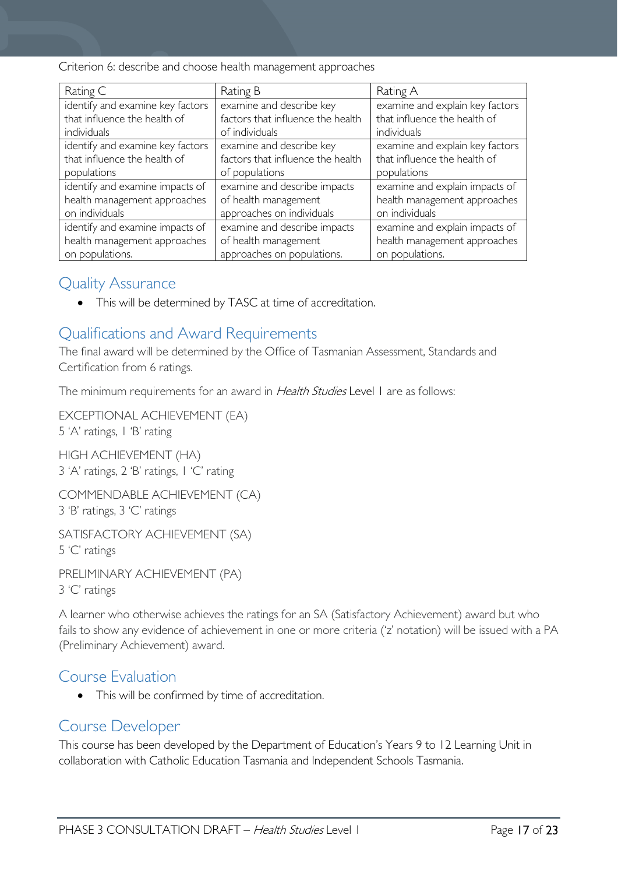Criterion 6: describe and choose health management approaches

| Rating C                         | Rating B                          | Rating A                        |  |
|----------------------------------|-----------------------------------|---------------------------------|--|
| identify and examine key factors | examine and describe key          | examine and explain key factors |  |
| that influence the health of     | factors that influence the health | that influence the health of    |  |
| individuals                      | of individuals                    | individuals                     |  |
| identify and examine key factors | examine and describe key          | examine and explain key factors |  |
| that influence the health of     | factors that influence the health | that influence the health of    |  |
| populations                      | of populations                    | populations                     |  |
| identify and examine impacts of  | examine and describe impacts      | examine and explain impacts of  |  |
| health management approaches     | of health management              | health management approaches    |  |
| on individuals                   | approaches on individuals         | on individuals                  |  |
| identify and examine impacts of  | examine and describe impacts      | examine and explain impacts of  |  |
| health management approaches     | of health management              | health management approaches    |  |
| on populations.                  | approaches on populations.        | on populations.                 |  |

### <span id="page-16-0"></span>Quality Assurance

• This will be determined by TASC at time of accreditation.

# <span id="page-16-1"></span>Qualifications and Award Requirements

The final award will be determined by the Office of Tasmanian Assessment, Standards and Certification from 6 ratings.

The minimum requirements for an award in Health Studies Level 1 are as follows:

EXCEPTIONAL ACHIEVEMENT (EA) 5 'A' ratings, 1 'B' rating

HIGH ACHIEVEMENT (HA) 3 'A' ratings, 2 'B' ratings, 1 'C' rating

COMMENDABLE ACHIEVEMENT (CA) 3 'B' ratings, 3 'C' ratings

SATISFACTORY ACHIEVEMENT (SA) 5 'C' ratings

PRELIMINARY ACHIEVEMENT (PA) 3 'C' ratings

A learner who otherwise achieves the ratings for an SA (Satisfactory Achievement) award but who fails to show any evidence of achievement in one or more criteria ('z' notation) will be issued with a PA (Preliminary Achievement) award.

### <span id="page-16-2"></span>Course Evaluation

• This will be confirmed by time of accreditation.

### <span id="page-16-3"></span>Course Developer

This course has been developed by the Department of Education's Years 9 to 12 Learning Unit in collaboration with Catholic Education Tasmania and Independent Schools Tasmania.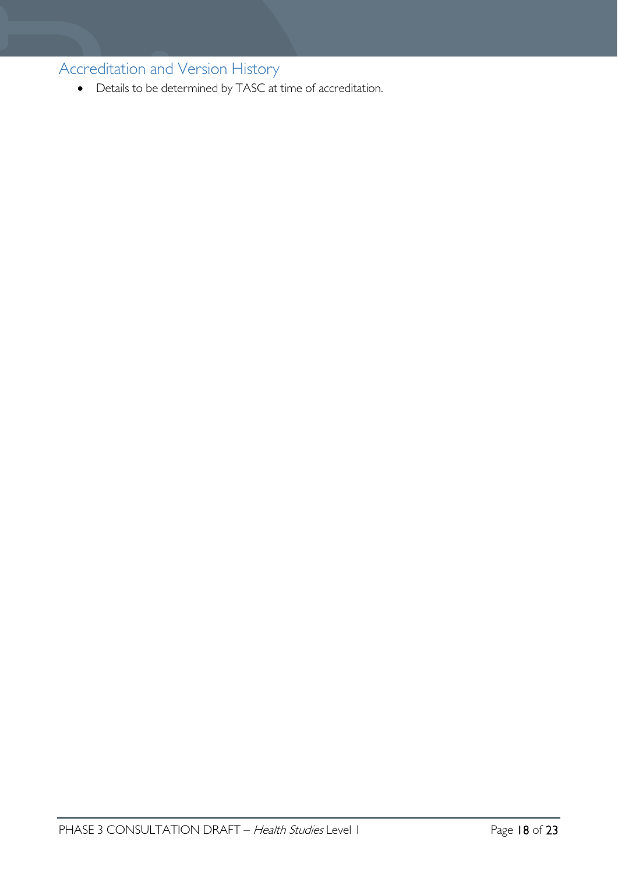<span id="page-17-0"></span>Accreditation and Version History

• Details to be determined by TASC at time of accreditation.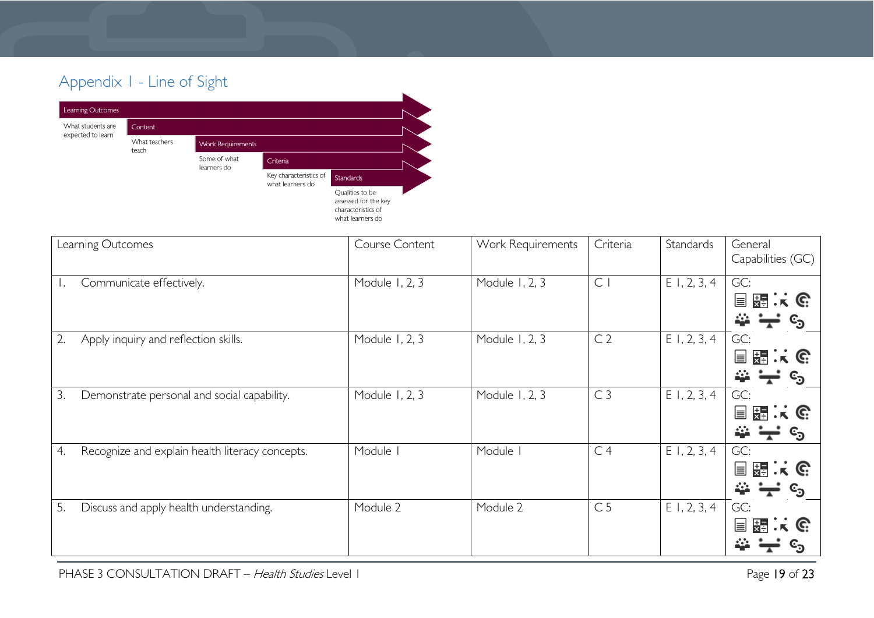# Appendix 1 - Line of Sight



<span id="page-18-0"></span>

| Learning Outcomes                                     | Course Content | Work Requirements | Criteria       | Standards      | General<br>Capabilities (GC)                                      |
|-------------------------------------------------------|----------------|-------------------|----------------|----------------|-------------------------------------------------------------------|
| Communicate effectively.                              | Module 1, 2, 3 | Module 1, 2, 3    | $\mathsf{C}$   | $E$ 1, 2, 3, 4 | GC:<br>$\cdot$ ik $\mathbb{G}$<br>믔<br>$\equiv$<br>င <sub>ာ</sub> |
| Apply inquiry and reflection skills.<br>2.            | Module 1, 2, 3 | Module 1, 2, 3    | C <sub>2</sub> | $E$ 1, 2, 3, 4 | GC:<br>開まで<br>$\equiv$                                            |
| 3.<br>Demonstrate personal and social capability.     | Module 1, 2, 3 | Module 1, 2, 3    | C <sub>3</sub> | $E$ 1, 2, 3, 4 | GC:<br>$K$ G<br>물로<br>≣<br>င့်၁                                   |
| Recognize and explain health literacy concepts.<br>4. | Module I       | Module            | C <sub>4</sub> | $E$ 1, 2, 3, 4 | GC:<br>물물<br>$\cdot$ is $\mathbb{G}$<br>$\equiv$                  |
| 5.<br>Discuss and apply health understanding.         | Module 2       | Module 2          | C <sub>5</sub> | $E$ 1, 2, 3, 4 | GC:<br>뜛<br>C.<br>冒                                               |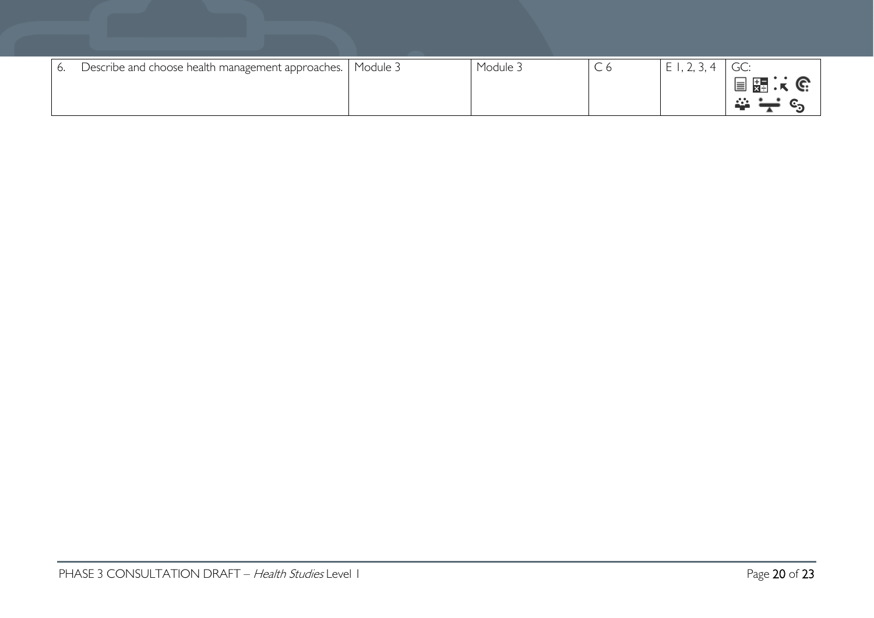| - 6. | Describe and choose health management approaches.   Module 3 | Module <sub>&gt;</sub> | $\overline{\phantom{0}}$<br>しり | $\cdot$ , $\leftarrow$ , $\cup$ , |           |
|------|--------------------------------------------------------------|------------------------|--------------------------------|-----------------------------------|-----------|
|      |                                                              |                        |                                |                                   | 冒霜决<br>C. |
|      |                                                              |                        |                                |                                   |           |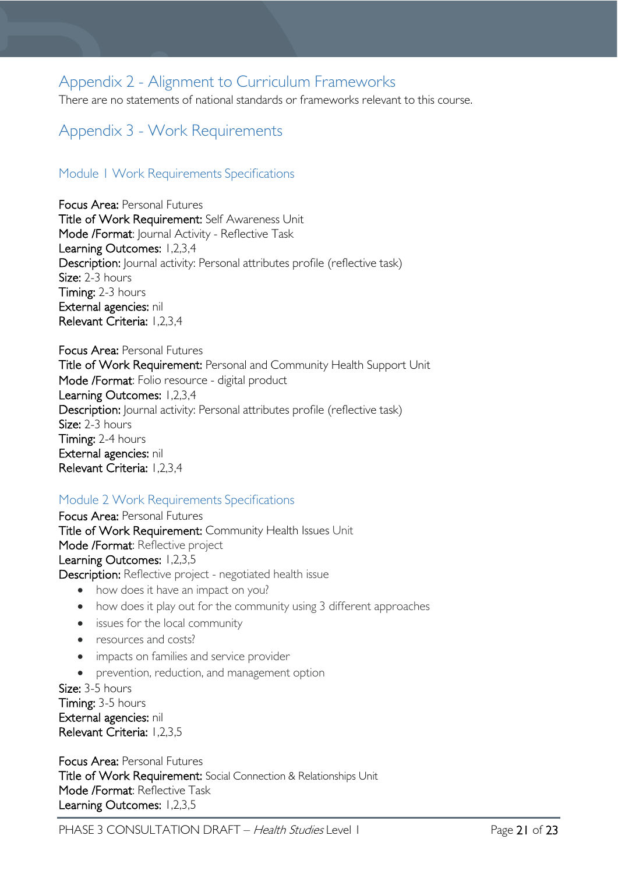# <span id="page-20-0"></span>Appendix 2 - Alignment to Curriculum Frameworks

There are no statements of national standards or frameworks relevant to this course.

# <span id="page-20-1"></span>Appendix 3 - Work Requirements

### <span id="page-20-2"></span>Module 1 Work Requirements Specifications

Focus Area: Personal Futures Title of Work Requirement: Self Awareness Unit Mode /Format: Journal Activity - Reflective Task Learning Outcomes: 1,2,3,4 Description: Journal activity: Personal attributes profile (reflective task) Size: 2-3 hours Timing: 2-3 hours External agencies: nil Relevant Criteria: 1,2,3,4

Focus Area: Personal Futures Title of Work Requirement: Personal and Community Health Support Unit Mode /Format: Folio resource - digital product Learning Outcomes: 1,2,3,4 Description: Journal activity: Personal attributes profile (reflective task) Size: 2-3 hours Timing: 2-4 hours External agencies: nil Relevant Criteria: 1,2,3,4

### <span id="page-20-3"></span>Module 2 Work Requirements Specifications

Focus Area: Personal Futures Title of Work Requirement: Community Health Issues Unit Mode /Format: Reflective project Learning Outcomes: 1,2,3,5 Description: Reflective project - negotiated health issue

- how does it have an impact on you?
- how does it play out for the community using 3 different approaches
- issues for the local community
- resources and costs?
- impacts on families and service provider
- prevention, reduction, and management option

Size: 3-5 hours Timing: 3-5 hours External agencies: nil Relevant Criteria: 1,2,3,5

Focus Area: Personal Futures Title of Work Requirement: Social Connection & Relationships Unit Mode /Format: Reflective Task Learning Outcomes: 1,2,3,5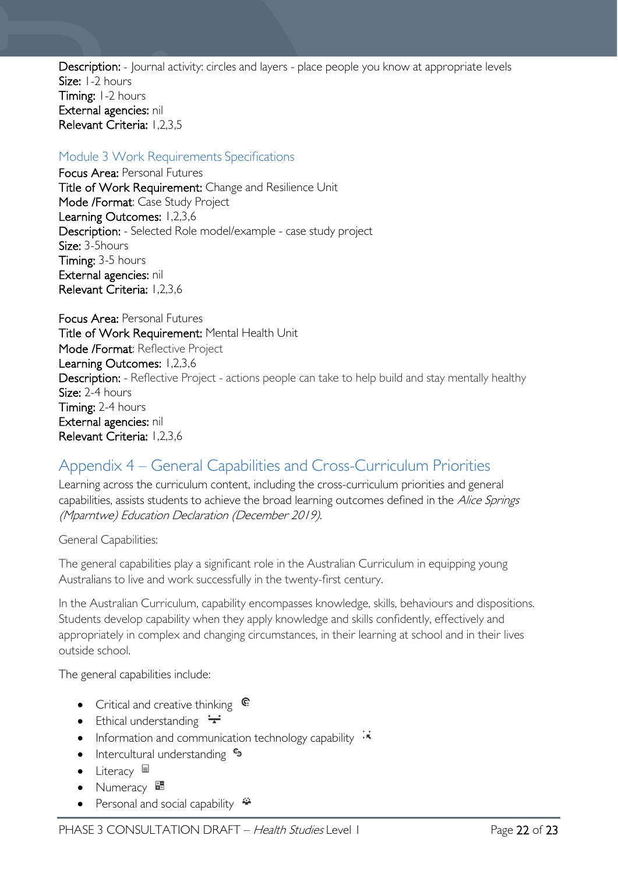Description: - Journal activity: circles and layers - place people you know at appropriate levels Size: 1-2 hours Timing: 1-2 hours External agencies: nil Relevant Criteria: 1,2,3,5

### <span id="page-21-0"></span>Module 3 Work Requirements Specifications

Focus Area: Personal Futures Title of Work Requirement: Change and Resilience Unit Mode /Format: Case Study Project Learning Outcomes: 1,2,3,6 Description: - Selected Role model/example - case study project Size: 3-5hours Timing: 3-5 hours External agencies: nil Relevant Criteria: 1,2,3,6

Focus Area: Personal Futures Title of Work Requirement: Mental Health Unit Mode /Format: Reflective Project Learning Outcomes: 1,2,3,6 Description: - Reflective Project - actions people can take to help build and stay mentally healthy Size: 2-4 hours Timing: 2-4 hours External agencies: nil Relevant Criteria: 1,2,3,6

# <span id="page-21-1"></span>Appendix 4 – General Capabilities and Cross-Curriculum Priorities

Learning across the curriculum content, including the cross-curriculum priorities and general capabilities, assists students to achieve the broad learning outcomes defined in the Alice Springs (Mparntwe) Education Declaration (December 2019).

#### General Capabilities:

The general capabilities play a significant role in the Australian Curriculum in equipping young Australians to live and work successfully in the twenty-first century.

In the Australian Curriculum, capability encompasses knowledge, skills, behaviours and dispositions. Students develop capability when they apply knowledge and skills confidently, effectively and appropriately in complex and changing circumstances, in their learning at school and in their lives outside school.

The general capabilities include:

- Critical and creative thinking  $\mathbb{C}$
- Ethical understanding  $\div$
- Information and communication technology capability  $\cdot \cdot$
- Intercultural understanding •
- Literacy  $\blacksquare$
- Numeracy
- Personal and social capability  $\ddot{\ddot{}}$